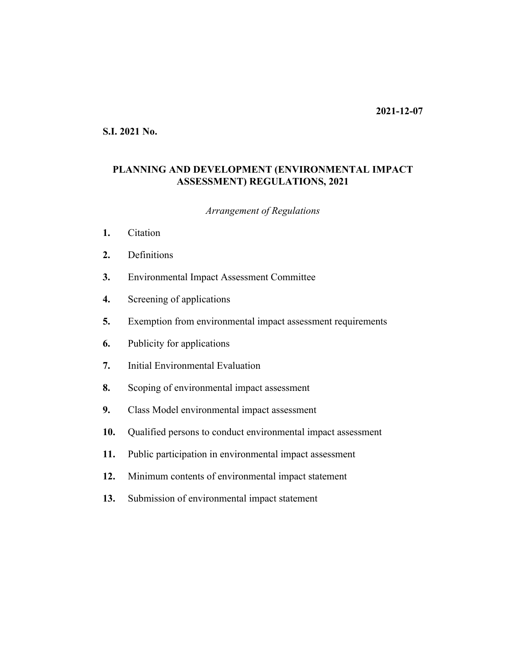### **S.I. 2021 No.**

# **PLANNING AND DEVELOPMENT (ENVIRONMENTAL IMPACT ASSESSMENT) REGULATIONS, 2021**

#### *Arrangement of Regulations*

- **[Citation](#page-2-0) 1.**
- [Definitions](#page-2-0) **2.**
- [Environmental Impact Assessment Committee](#page-3-0) **3.**
- [Screening of applications](#page-4-0) **4.**
- [Exemption from environmental impact assessment requirements](#page-6-0) **5.**
- [Publicity for applications](#page-6-0) **6.**
- [Initial Environmental Evaluation](#page-7-0) **7.**
- [Scoping of environmental impact assessment](#page-8-0) **8.**
- [Class Model environmental impact assessment](#page-9-0) **9.**
- [Qualified persons to conduct environmental impact assessment](#page-10-0) **10.**
- [Public participation in environmental impact assessment](#page-11-0) **11.**
- [Minimum contents of environmental impact statement](#page-11-0) **12.**
- [Submission of environmental impact statement](#page-12-0) **13.**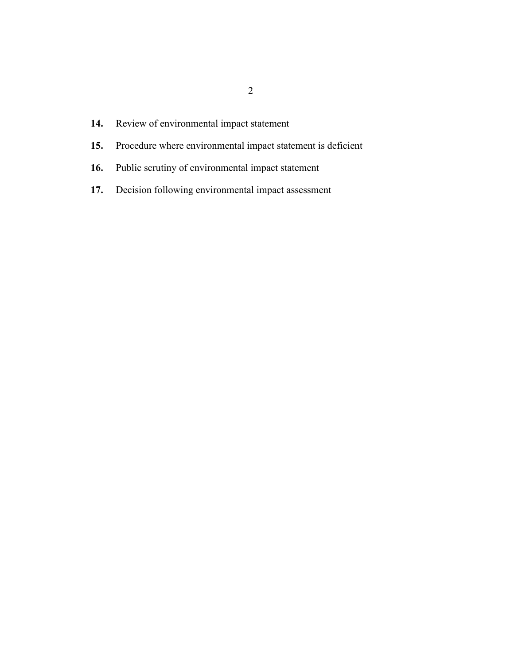- [Review of environmental impact statement](#page-12-0) **14.**
- [Procedure where environmental impact statement is deficient](#page-13-0) **15.**
- [Public scrutiny of environmental impact statement](#page-14-0) **16.**
- [Decision following environmental impact assessment](#page-15-0) **17.**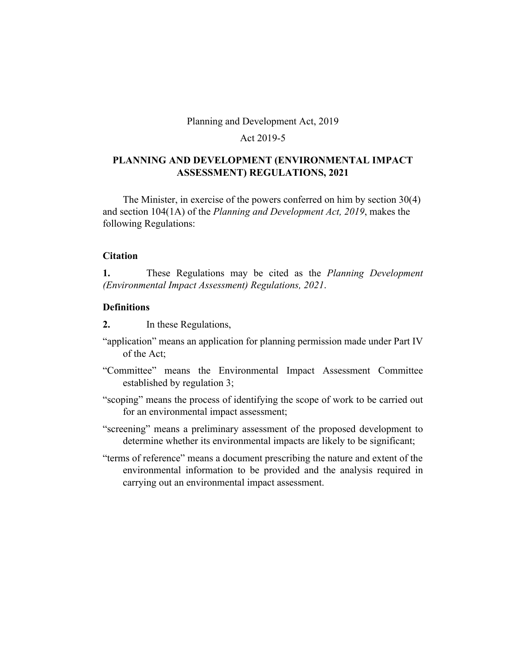Planning and Development Act, 2019

# Act 2019-5

# <span id="page-2-0"></span>**PLANNING AND DEVELOPMENT (ENVIRONMENTAL IMPACT ASSESSMENT) REGULATIONS, 2021**

The Minister, in exercise of the powers conferred on him by section 30(4) and section 104(1A) of the *Planning and Development Act, 2019*, makes the following Regulations:

### **Citation**

These Regulations may be cited as the *Planning Development (Environmental Impact Assessment) Regulations, 2021*. **1.**

### **Definitions**

In these Regulations, **2.**

- "application" means an application for planning permission made under Part IV of the Act;
- "Committee" means the Environmental Impact Assessment Committee established by regulation 3;
- "scoping" means the process of identifying the scope of work to be carried out for an environmental impact assessment;
- "screening" means a preliminary assessment of the proposed development to determine whether its environmental impacts are likely to be significant;
- "terms of reference" means a document prescribing the nature and extent of the environmental information to be provided and the analysis required in carrying out an environmental impact assessment.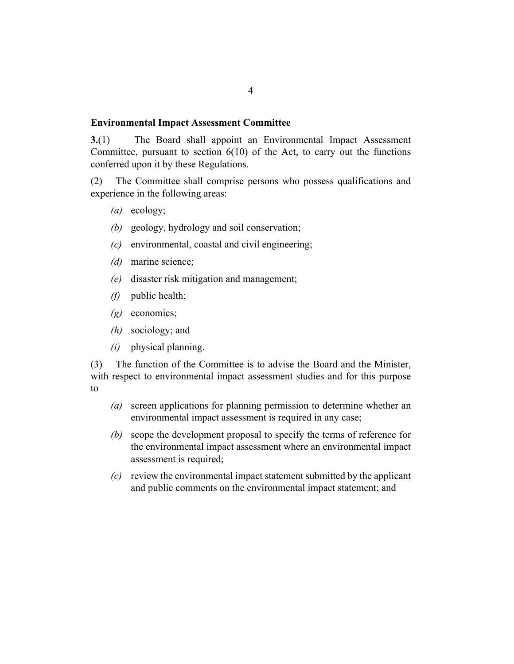#### <span id="page-3-0"></span>**Environmental Impact Assessment Committee**

The Board shall appoint an Environmental Impact Assessment Committee, pursuant to section  $6(10)$  of the Act, to carry out the functions conferred upon it by these Regulations. **3.**(1)

The Committee shall comprise persons who possess qualifications and experience in the following areas: (2)

- (a) ecology;
- geology, hydrology and soil conservation; *(b)*
- (c) environmental, coastal and civil engineering;
- marine science; *(d)*
- (e) disaster risk mitigation and management;
- public health; *(f)*
- (g) economics;
- sociology; and *(h)*
- physical planning. *(i)*

The function of the Committee is to advise the Board and the Minister, with respect to environmental impact assessment studies and for this purpose to (3)

- screen applications for planning permission to determine whether an *(a)* environmental impact assessment is required in any case;
- scope the development proposal to specify the terms of reference for *(b)* the environmental impact assessment where an environmental impact assessment is required;
- review the environmental impact statement submitted by the applicant *(c)* and public comments on the environmental impact statement; and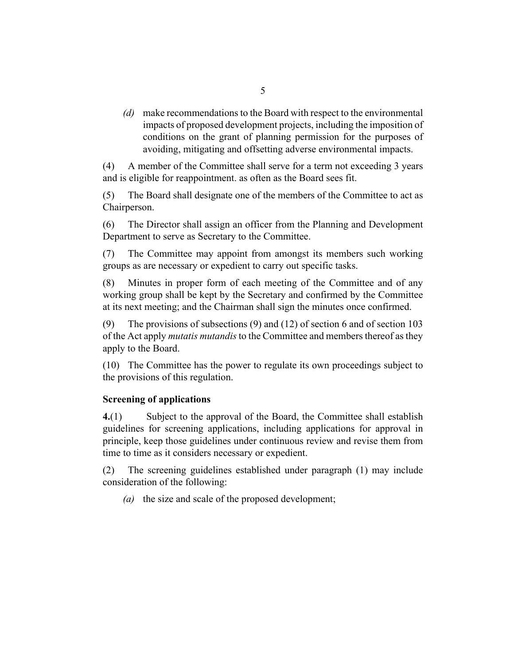<span id="page-4-0"></span>make recommendations to the Board with respect to the environmental *(d)* impacts of proposed development projects, including the imposition of conditions on the grant of planning permission for the purposes of avoiding, mitigating and offsetting adverse environmental impacts.

A member of the Committee shall serve for a term not exceeding 3 years and is eligible for reappointment. as often as the Board sees fit. (4)

The Board shall designate one of the members of the Committee to act as Chairperson. (5)

The Director shall assign an officer from the Planning and Development Department to serve as Secretary to the Committee. (6)

The Committee may appoint from amongst its members such working groups as are necessary or expedient to carry out specific tasks. (7)

Minutes in proper form of each meeting of the Committee and of any working group shall be kept by the Secretary and confirmed by the Committee at its next meeting; and the Chairman shall sign the minutes once confirmed. (8)

The provisions of subsections (9) and (12) of section 6 and of section 103 of the Act apply *mutatis mutandis* to the Committee and members thereof as they apply to the Board. (9)

(10) The Committee has the power to regulate its own proceedings subject to the provisions of this regulation.

### **Screening of applications**

Subject to the approval of the Board, the Committee shall establish guidelines for screening applications, including applications for approval in principle, keep those guidelines under continuous review and revise them from time to time as it considers necessary or expedient. **4.**(1)

The screening guidelines established under paragraph (1) may include consideration of the following: (2)

(a) the size and scale of the proposed development;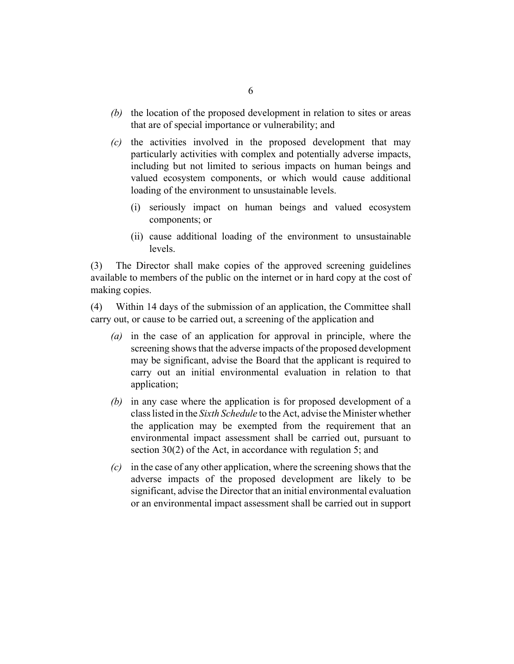- (b) the location of the proposed development in relation to sites or areas that are of special importance or vulnerability; and
- $\alpha$  the activities involved in the proposed development that may particularly activities with complex and potentially adverse impacts, including but not limited to serious impacts on human beings and valued ecosystem components, or which would cause additional loading of the environment to unsustainable levels.
	- (i) seriously impact on human beings and valued ecosystem components; or
	- (ii) cause additional loading of the environment to unsustainable levels.

The Director shall make copies of the approved screening guidelines available to members of the public on the internet or in hard copy at the cost of making copies. (3)

Within 14 days of the submission of an application, the Committee shall carry out, or cause to be carried out, a screening of the application and (4)

- (a) in the case of an application for approval in principle, where the screening shows that the adverse impacts of the proposed development may be significant, advise the Board that the applicant is required to carry out an initial environmental evaluation in relation to that application;
- (b) in any case where the application is for proposed development of a class listed in the *Sixth Schedule* to the Act, advise the Minister whether the application may be exempted from the requirement that an environmental impact assessment shall be carried out, pursuant to section 30(2) of the Act, in accordance with regulation 5; and
- in the case of any other application, where the screening shows that the *(c)* adverse impacts of the proposed development are likely to be significant, advise the Director that an initial environmental evaluation or an environmental impact assessment shall be carried out in support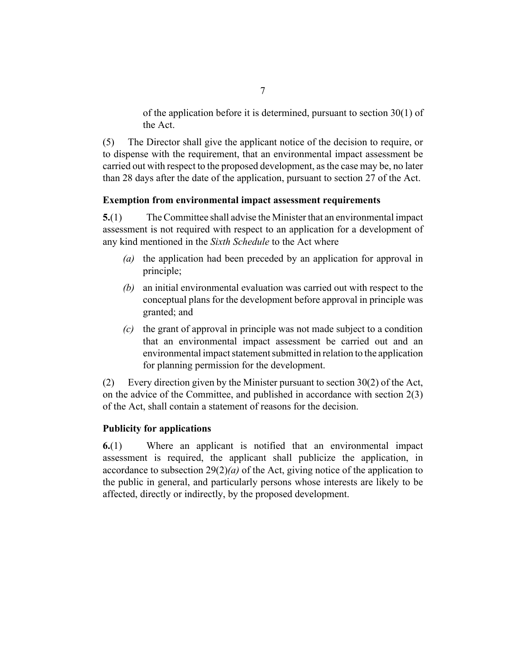of the application before it is determined, pursuant to section 30(1) of the Act.

<span id="page-6-0"></span>The Director shall give the applicant notice of the decision to require, or to dispense with the requirement, that an environmental impact assessment be carried out with respect to the proposed development, as the case may be, no later than 28 days after the date of the application, pursuant to section 27 of the Act. (5)

# **Exemption from environmental impact assessment requirements**

The Committee shall advise the Minister that an environmental impact assessment is not required with respect to an application for a development of any kind mentioned in the *Sixth Schedule* to the Act where **5.**(1)

- (a) the application had been preceded by an application for approval in principle;
- an initial environmental evaluation was carried out with respect to the *(b)* conceptual plans for the development before approval in principle was granted; and
- the grant of approval in principle was not made subject to a condition *(c)* that an environmental impact assessment be carried out and an environmental impact statement submitted in relation to the application for planning permission for the development.

Every direction given by the Minister pursuant to section 30(2) of the Act, on the advice of the Committee, and published in accordance with section 2(3) of the Act, shall contain a statement of reasons for the decision. (2)

# **Publicity for applications**

Where an applicant is notified that an environmental impact assessment is required, the applicant shall publicize the application, in accordance to subsection 29(2)*(a)* of the Act, giving notice of the application to the public in general, and particularly persons whose interests are likely to be affected, directly or indirectly, by the proposed development. **6.**(1)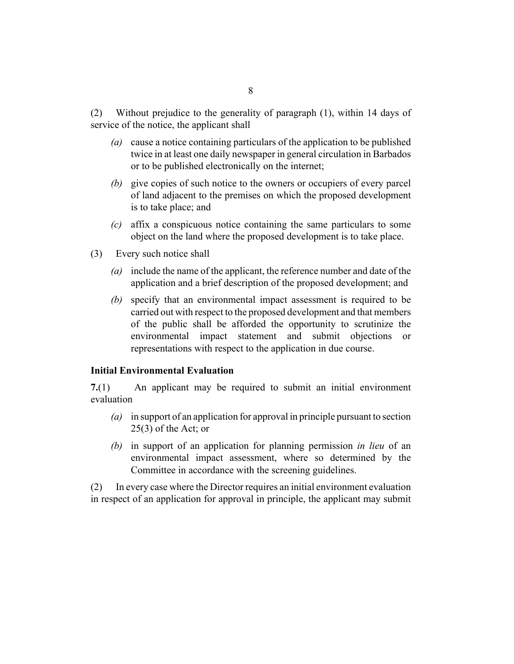<span id="page-7-0"></span>Without prejudice to the generality of paragraph (1), within 14 days of service of the notice, the applicant shall (2)

- cause a notice containing particulars of the application to be published *(a)* twice in at least one daily newspaper in general circulation in Barbados or to be published electronically on the internet;
- (b) give copies of such notice to the owners or occupiers of every parcel of land adjacent to the premises on which the proposed development is to take place; and
- affix a conspicuous notice containing the same particulars to some *(c)* object on the land where the proposed development is to take place.
- Every such notice shall (3)
	- include the name of the applicant, the reference number and date of the *(a)* application and a brief description of the proposed development; and
	- specify that an environmental impact assessment is required to be *(b)* carried out with respect to the proposed development and that members of the public shall be afforded the opportunity to scrutinize the environmental impact statement and submit objections or representations with respect to the application in due course.

#### **Initial Environmental Evaluation**

An applicant may be required to submit an initial environment evaluation **7.**(1)

- in support of an application for approval in principle pursuant to section *(a)* 25(3) of the Act; or
- (b) in support of an application for planning permission *in lieu* of an environmental impact assessment, where so determined by the Committee in accordance with the screening guidelines.

In every case where the Director requires an initial environment evaluation in respect of an application for approval in principle, the applicant may submit (2)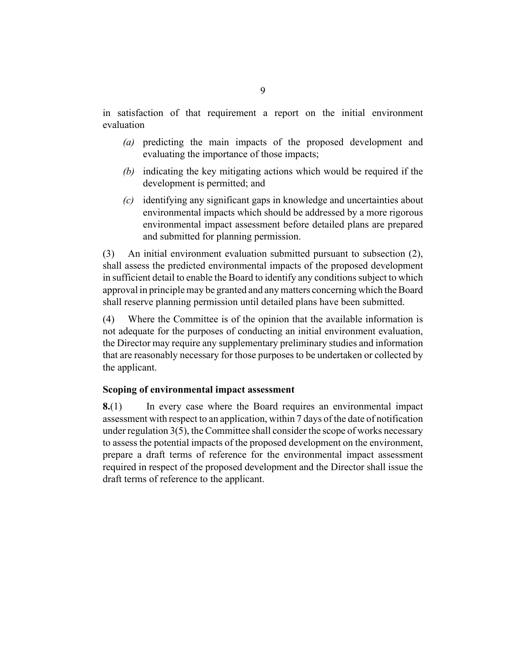<span id="page-8-0"></span>in satisfaction of that requirement a report on the initial environment evaluation

- (a) predicting the main impacts of the proposed development and evaluating the importance of those impacts;
- (b) indicating the key mitigating actions which would be required if the development is permitted; and
- identifying any significant gaps in knowledge and uncertainties about *(c)* environmental impacts which should be addressed by a more rigorous environmental impact assessment before detailed plans are prepared and submitted for planning permission.

An initial environment evaluation submitted pursuant to subsection (2), shall assess the predicted environmental impacts of the proposed development in sufficient detail to enable the Board to identify any conditions subject to which approval in principle may be granted and any matters concerning which the Board shall reserve planning permission until detailed plans have been submitted. (3)

Where the Committee is of the opinion that the available information is not adequate for the purposes of conducting an initial environment evaluation, the Director may require any supplementary preliminary studies and information that are reasonably necessary for those purposes to be undertaken or collected by the applicant. (4)

### **Scoping of environmental impact assessment**

In every case where the Board requires an environmental impact assessment with respect to an application, within 7 days of the date of notification under regulation 3(5), the Committee shall consider the scope of works necessary to assess the potential impacts of the proposed development on the environment, prepare a draft terms of reference for the environmental impact assessment required in respect of the proposed development and the Director shall issue the draft terms of reference to the applicant. **8.**(1)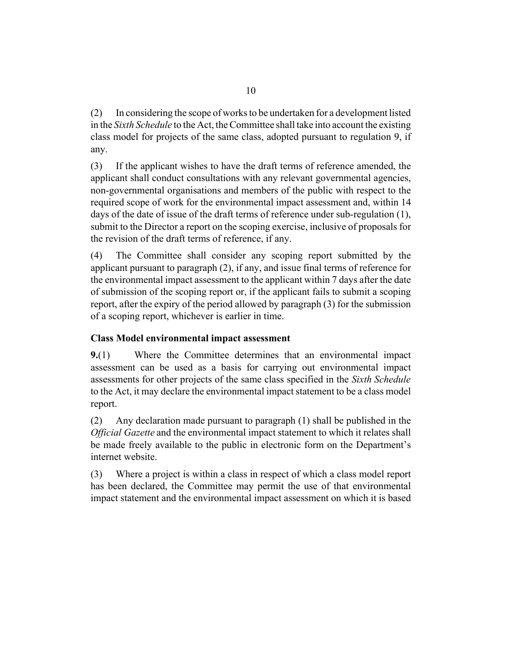<span id="page-9-0"></span>In considering the scope of works to be undertaken for a development listed in the *Sixth Schedule* to the Act, the Committee shall take into account the existing class model for projects of the same class, adopted pursuant to regulation 9, if any. (2)

If the applicant wishes to have the draft terms of reference amended, the applicant shall conduct consultations with any relevant governmental agencies, non-governmental organisations and members of the public with respect to the required scope of work for the environmental impact assessment and, within 14 days of the date of issue of the draft terms of reference under sub-regulation (1), submit to the Director a report on the scoping exercise, inclusive of proposals for the revision of the draft terms of reference, if any. (3)

The Committee shall consider any scoping report submitted by the applicant pursuant to paragraph (2), if any, and issue final terms of reference for the environmental impact assessment to the applicant within 7 days after the date of submission of the scoping report or, if the applicant fails to submit a scoping report, after the expiry of the period allowed by paragraph (3) for the submission of a scoping report, whichever is earlier in time. (4)

# **Class Model environmental impact assessment**

Where the Committee determines that an environmental impact assessment can be used as a basis for carrying out environmental impact assessments for other projects of the same class specified in the *Sixth Schedule* to the Act, it may declare the environmental impact statement to be a class model report. **9.**(1)

Any declaration made pursuant to paragraph (1) shall be published in the *Official Gazette* and the environmental impact statement to which it relates shall be made freely available to the public in electronic form on the Department's internet website. (2)

Where a project is within a class in respect of which a class model report has been declared, the Committee may permit the use of that environmental impact statement and the environmental impact assessment on which it is based (3)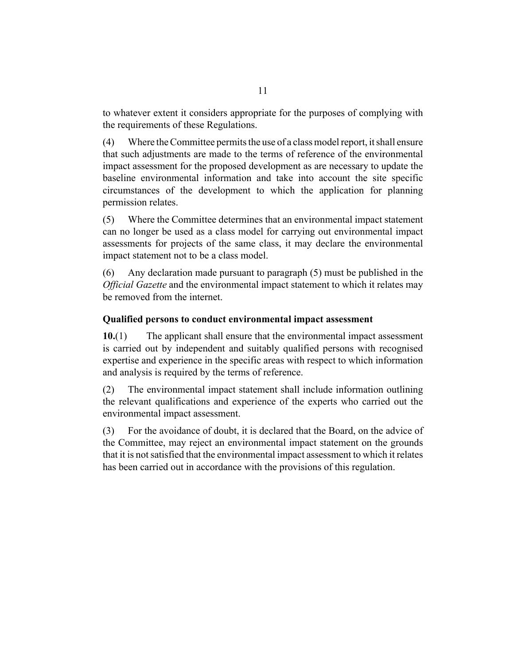<span id="page-10-0"></span>to whatever extent it considers appropriate for the purposes of complying with the requirements of these Regulations.

Where the Committee permits the use of a class model report, it shall ensure that such adjustments are made to the terms of reference of the environmental impact assessment for the proposed development as are necessary to update the baseline environmental information and take into account the site specific circumstances of the development to which the application for planning permission relates. (4)

Where the Committee determines that an environmental impact statement can no longer be used as a class model for carrying out environmental impact assessments for projects of the same class, it may declare the environmental impact statement not to be a class model. (5)

Any declaration made pursuant to paragraph (5) must be published in the *Official Gazette* and the environmental impact statement to which it relates may be removed from the internet. (6)

### **Qualified persons to conduct environmental impact assessment**

The applicant shall ensure that the environmental impact assessment is carried out by independent and suitably qualified persons with recognised expertise and experience in the specific areas with respect to which information and analysis is required by the terms of reference. **10.**(1)

The environmental impact statement shall include information outlining the relevant qualifications and experience of the experts who carried out the environmental impact assessment. (2)

For the avoidance of doubt, it is declared that the Board, on the advice of the Committee, may reject an environmental impact statement on the grounds that it is not satisfied that the environmental impact assessment to which it relates has been carried out in accordance with the provisions of this regulation. (3)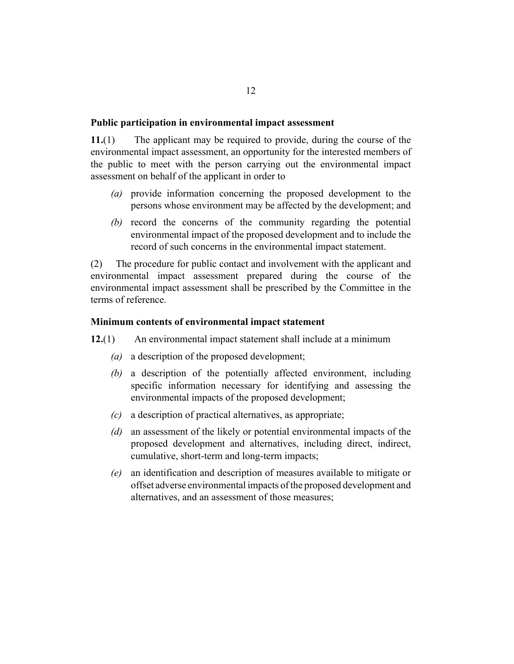#### <span id="page-11-0"></span>**Public participation in environmental impact assessment**

The applicant may be required to provide, during the course of the environmental impact assessment, an opportunity for the interested members of the public to meet with the person carrying out the environmental impact assessment on behalf of the applicant in order to **11.**(1)

- provide information concerning the proposed development to the *(a)* persons whose environment may be affected by the development; and
- (b) record the concerns of the community regarding the potential environmental impact of the proposed development and to include the record of such concerns in the environmental impact statement.

The procedure for public contact and involvement with the applicant and environmental impact assessment prepared during the course of the environmental impact assessment shall be prescribed by the Committee in the terms of reference. (2)

#### **Minimum contents of environmental impact statement**

- An environmental impact statement shall include at a minimum **12.**(1)
	- (a) a description of the proposed development;
	- a description of the potentially affected environment, including *(b)* specific information necessary for identifying and assessing the environmental impacts of the proposed development;
	- a description of practical alternatives, as appropriate; *(c)*
	- (d) an assessment of the likely or potential environmental impacts of the proposed development and alternatives, including direct, indirect, cumulative, short-term and long-term impacts;
	- an identification and description of measures available to mitigate or *(e)* offset adverse environmental impacts of the proposed development and alternatives, and an assessment of those measures;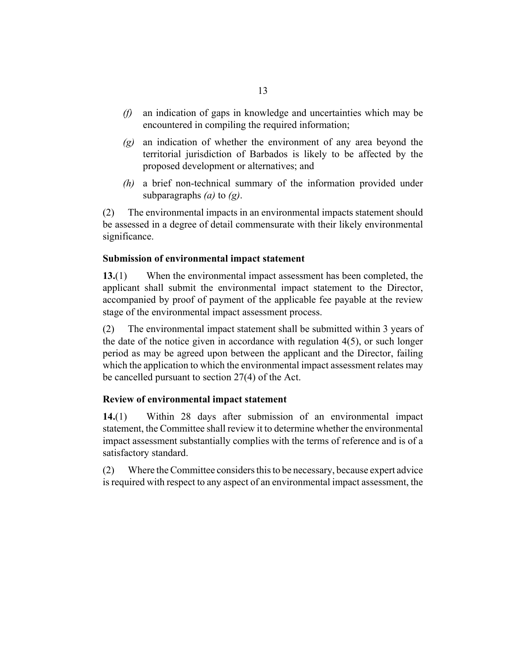- <span id="page-12-0"></span>an indication of gaps in knowledge and uncertainties which may be encountered in compiling the required information; *(f)*
- an indication of whether the environment of any area beyond the *(g)* territorial jurisdiction of Barbados is likely to be affected by the proposed development or alternatives; and
- a brief non-technical summary of the information provided under *(h)* subparagraphs *(a)* to *(g)*.

The environmental impacts in an environmental impacts statement should be assessed in a degree of detail commensurate with their likely environmental significance. (2)

### **Submission of environmental impact statement**

When the environmental impact assessment has been completed, the applicant shall submit the environmental impact statement to the Director, accompanied by proof of payment of the applicable fee payable at the review stage of the environmental impact assessment process. **13.**(1)

The environmental impact statement shall be submitted within 3 years of the date of the notice given in accordance with regulation 4(5), or such longer period as may be agreed upon between the applicant and the Director, failing which the application to which the environmental impact assessment relates may be cancelled pursuant to section 27(4) of the Act. (2)

#### **Review of environmental impact statement**

Within 28 days after submission of an environmental impact statement, the Committee shall review it to determine whether the environmental impact assessment substantially complies with the terms of reference and is of a satisfactory standard. **14.**(1)

Where the Committee considers this to be necessary, because expert advice is required with respect to any aspect of an environmental impact assessment, the (2)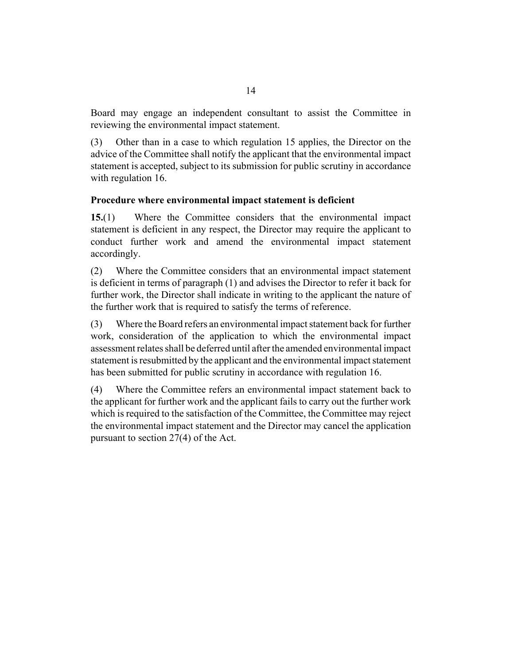<span id="page-13-0"></span>Board may engage an independent consultant to assist the Committee in reviewing the environmental impact statement.

Other than in a case to which regulation 15 applies, the Director on the advice of the Committee shall notify the applicant that the environmental impact statement is accepted, subject to its submission for public scrutiny in accordance with regulation 16. (3)

# **Procedure where environmental impact statement is deficient**

Where the Committee considers that the environmental impact statement is deficient in any respect, the Director may require the applicant to conduct further work and amend the environmental impact statement accordingly. **15.**(1)

Where the Committee considers that an environmental impact statement is deficient in terms of paragraph (1) and advises the Director to refer it back for further work, the Director shall indicate in writing to the applicant the nature of the further work that is required to satisfy the terms of reference. (2)

Where the Board refers an environmental impact statement back for further work, consideration of the application to which the environmental impact assessment relates shall be deferred until after the amended environmental impact statement is resubmitted by the applicant and the environmental impact statement has been submitted for public scrutiny in accordance with regulation 16. (3)

Where the Committee refers an environmental impact statement back to the applicant for further work and the applicant fails to carry out the further work which is required to the satisfaction of the Committee, the Committee may reject the environmental impact statement and the Director may cancel the application pursuant to section 27(4) of the Act. (4)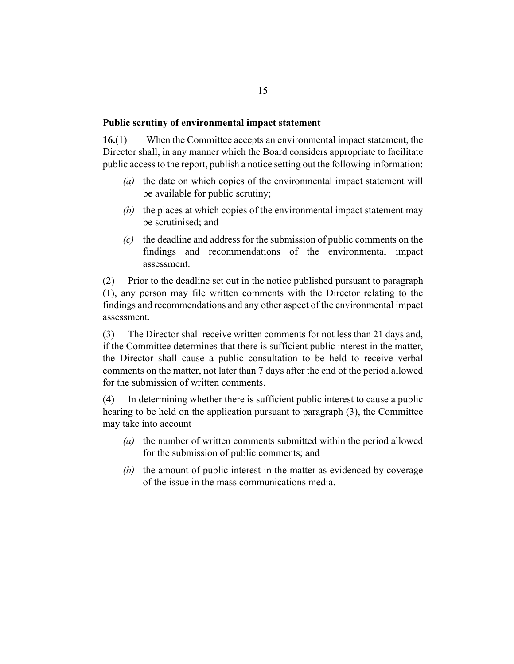#### <span id="page-14-0"></span>**Public scrutiny of environmental impact statement**

When the Committee accepts an environmental impact statement, the Director shall, in any manner which the Board considers appropriate to facilitate public access to the report, publish a notice setting out the following information: **16.**(1)

- (a) the date on which copies of the environmental impact statement will be available for public scrutiny;
- (b) the places at which copies of the environmental impact statement may be scrutinised; and
- (c) the deadline and address for the submission of public comments on the findings and recommendations of the environmental impact assessment.

Prior to the deadline set out in the notice published pursuant to paragraph (1), any person may file written comments with the Director relating to the findings and recommendations and any other aspect of the environmental impact assessment. (2)

The Director shall receive written comments for not less than 21 days and, if the Committee determines that there is sufficient public interest in the matter, the Director shall cause a public consultation to be held to receive verbal comments on the matter, not later than 7 days after the end of the period allowed for the submission of written comments. (3)

In determining whether there is sufficient public interest to cause a public hearing to be held on the application pursuant to paragraph (3), the Committee may take into account (4)

- (a) the number of written comments submitted within the period allowed for the submission of public comments; and
- (b) the amount of public interest in the matter as evidenced by coverage of the issue in the mass communications media.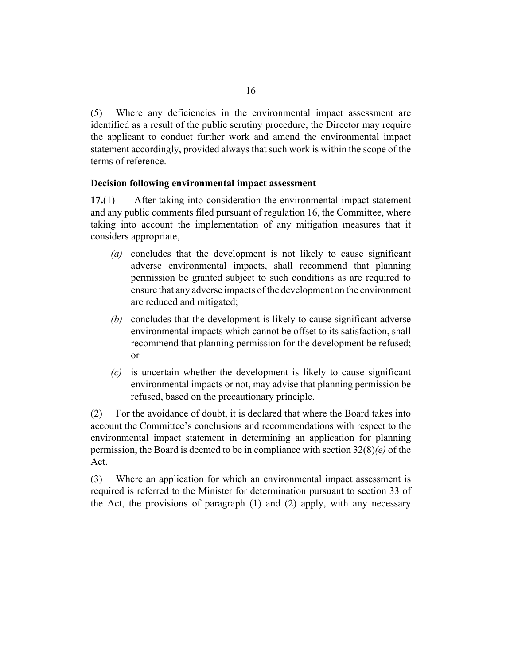<span id="page-15-0"></span>Where any deficiencies in the environmental impact assessment are identified as a result of the public scrutiny procedure, the Director may require the applicant to conduct further work and amend the environmental impact statement accordingly, provided always that such work is within the scope of the terms of reference. (5)

### **Decision following environmental impact assessment**

After taking into consideration the environmental impact statement and any public comments filed pursuant of regulation 16, the Committee, where taking into account the implementation of any mitigation measures that it considers appropriate, **17.**(1)

- concludes that the development is not likely to cause significant *(a)* adverse environmental impacts, shall recommend that planning permission be granted subject to such conditions as are required to ensure that any adverse impacts of the development on the environment are reduced and mitigated;
- (b) concludes that the development is likely to cause significant adverse environmental impacts which cannot be offset to its satisfaction, shall recommend that planning permission for the development be refused; or
- is uncertain whether the development is likely to cause significant *(c)* environmental impacts or not, may advise that planning permission be refused, based on the precautionary principle.

For the avoidance of doubt, it is declared that where the Board takes into account the Committee's conclusions and recommendations with respect to the environmental impact statement in determining an application for planning permission, the Board is deemed to be in compliance with section 32(8)*(e)* of the Act. (2)

Where an application for which an environmental impact assessment is required is referred to the Minister for determination pursuant to section 33 of the Act, the provisions of paragraph (1) and (2) apply, with any necessary (3)